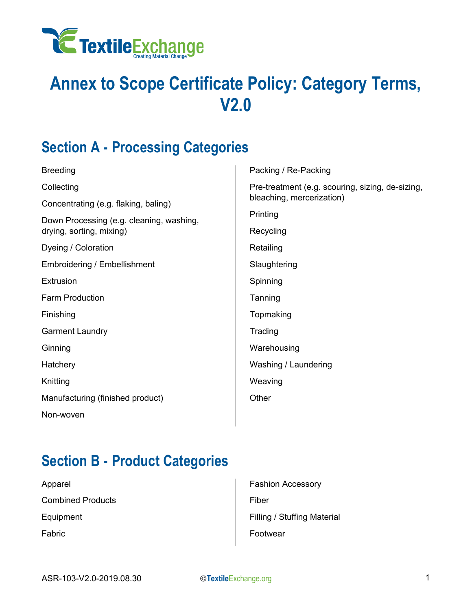

## **Annex to Scope Certificate Policy: Category Terms, V2.0**

#### **Section A - Processing Categories**

| <b>Breeding</b>                                                      | Р      |
|----------------------------------------------------------------------|--------|
| Collecting                                                           | Р      |
| Concentrating (e.g. flaking, baling)                                 | b      |
| Down Processing (e.g. cleaning, washing,<br>drying, sorting, mixing) | Р<br>R |
| Dyeing / Coloration                                                  | R      |
| <b>Embroidering / Embellishment</b>                                  | S      |
| Extrusion                                                            | S      |
| <b>Farm Production</b>                                               | Τ      |
| Finishing                                                            | Τ      |
| <b>Garment Laundry</b>                                               | Τ      |
| Ginning                                                              | ۷      |
| Hatchery                                                             | ۷      |
| Knitting                                                             | V      |
| Manufacturing (finished product)                                     | C      |
| Non-woven                                                            |        |
|                                                                      |        |

Packing / Re-Packing Pre-treatment (e.g. scouring, sizing, de-sizing, leaching, mercerization) Printing ecycling Retailing Slaughtering Spinning anning **comaking** rading Warehousing Washing / Laundering Weaving Other

#### **Section B - Product Categories**

Apparel Combined Products Equipment Fabric

Fashion Accessory Fiber Filling / Stuffing Material Footwear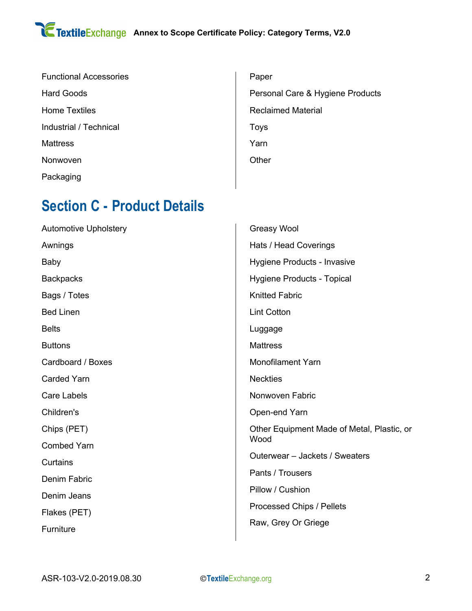| <b>Functional Accessories</b> |
|-------------------------------|
| Hard Goods                    |
| <b>Home Textiles</b>          |
| Industrial / Technical        |
| Mattress                      |
| Nonwoven                      |
| Packaging                     |

| Paper                            |
|----------------------------------|
| Personal Care & Hygiene Products |
| Reclaimed Material               |
| Toys                             |
| Yarn                             |
| Other                            |
|                                  |

#### **Section C - Product Details**

| <b>Automotive Upholstery</b> | Greasy Wool                                |
|------------------------------|--------------------------------------------|
| Awnings                      | Hats / Head Coverings                      |
| <b>Baby</b>                  | Hygiene Products - Invasive                |
| <b>Backpacks</b>             | Hygiene Products - Topical                 |
| Bags / Totes                 | <b>Knitted Fabric</b>                      |
| <b>Bed Linen</b>             | <b>Lint Cotton</b>                         |
| <b>Belts</b>                 | Luggage                                    |
| <b>Buttons</b>               | <b>Mattress</b>                            |
| Cardboard / Boxes            | <b>Monofilament Yarn</b>                   |
| <b>Carded Yarn</b>           | <b>Neckties</b>                            |
| <b>Care Labels</b>           | Nonwoven Fabric                            |
| Children's                   | Open-end Yarn                              |
| Chips (PET)                  | Other Equipment Made of Metal, Plastic, or |
| <b>Combed Yarn</b>           | Wood                                       |
| Curtains                     | Outerwear - Jackets / Sweaters             |
| Denim Fabric                 | Pants / Trousers                           |
| Denim Jeans                  | Pillow / Cushion                           |
| Flakes (PET)                 | Processed Chips / Pellets                  |
| Furniture                    | Raw, Grey Or Griege                        |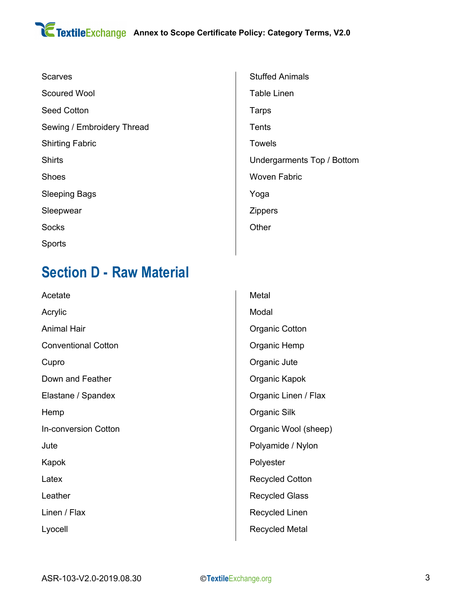| <b>Scarves</b>             |  |
|----------------------------|--|
| <b>Scoured Wool</b>        |  |
| <b>Seed Cotton</b>         |  |
| Sewing / Embroidery Thread |  |
| <b>Shirting Fabric</b>     |  |
| <b>Shirts</b>              |  |
| <b>Shoes</b>               |  |
| <b>Sleeping Bags</b>       |  |
| Sleepwear                  |  |
| <b>Socks</b>               |  |
| Sports                     |  |
|                            |  |

### **Section D - Raw Material**

Acetate Acrylic Animal Hair Conventional Cotton Cupro Down and Feather Elastane / Spandex Hemp In-conversion Cotton Jute Kapok Latex Leather Linen / Flax Lyocell

Stuffed Animals Table Linen Tarps **Tents** Towels Undergarments Top / Bottom Woven Fabric Yoga Zippers **Other** 

Metal Modal Organic Cotton Organic Hemp Organic Jute Organic Kapok Organic Linen / Flax Organic Silk Organic Wool (sheep) Polyamide / Nylon Polyester Recycled Cotton Recycled Glass Recycled Linen Recycled Metal